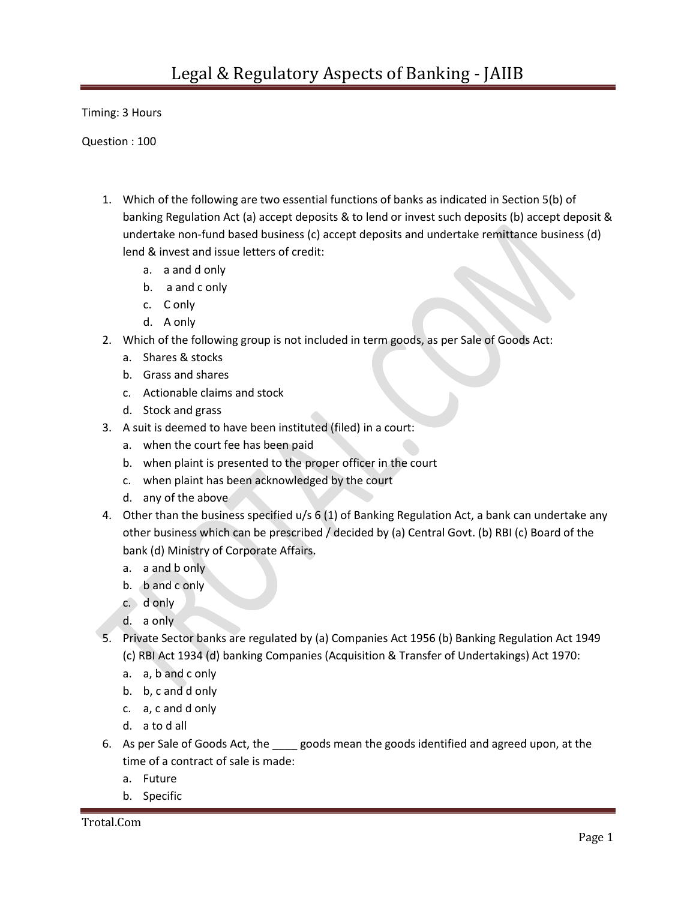Timing: 3 Hours

Question : 100

- 1. Which of the following are two essential functions of banks as indicated in Section 5(b) of banking Regulation Act (a) accept deposits & to lend or invest such deposits (b) accept deposit & undertake non-fund based business (c) accept deposits and undertake remittance business (d) lend & invest and issue letters of credit:
	- a. a and d only
	- b. a and c only
	- c. C only
	- d. A only
- 2. Which of the following group is not included in term goods, as per Sale of Goods Act:
	- a. Shares & stocks
	- b. Grass and shares
	- c. Actionable claims and stock
	- d. Stock and grass
- 3. A suit is deemed to have been instituted (filed) in a court:
	- a. when the court fee has been paid
	- b. when plaint is presented to the proper officer in the court
	- c. when plaint has been acknowledged by the court
	- d. any of the above
- 4. Other than the business specified u/s 6 (1) of Banking Regulation Act, a bank can undertake any other business which can be prescribed / decided by (a) Central Govt. (b) RBI (c) Board of the bank (d) Ministry of Corporate Affairs.
	- a. a and b only
	- b. b and c only
	- c. d only
	- d. a only
- 5. Private Sector banks are regulated by (a) Companies Act 1956 (b) Banking Regulation Act 1949 (c) RBI Act 1934 (d) banking Companies (Acquisition & Transfer of Undertakings) Act 1970:
	- a. a, b and c only
	- b. b, c and d only
	- c. a, c and d only
	- d. a to d all
- 6. As per Sale of Goods Act, the same goods mean the goods identified and agreed upon, at the time of a contract of sale is made:
	- a. Future
	- b. Specific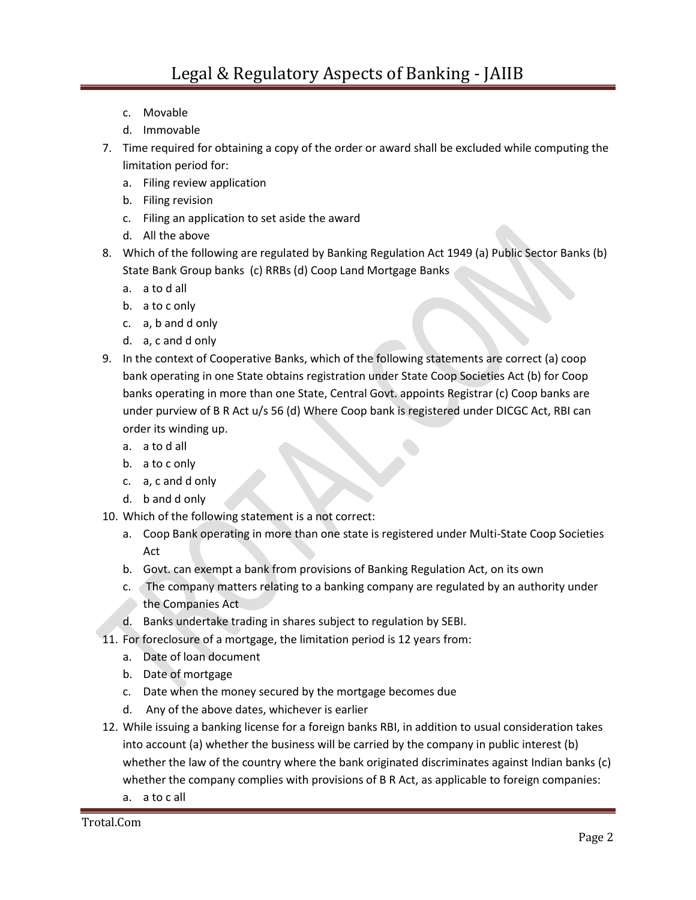- c. Movable
- d. Immovable
- 7. Time required for obtaining a copy of the order or award shall be excluded while computing the limitation period for:
	- a. Filing review application
	- b. Filing revision
	- c. Filing an application to set aside the award
	- d. All the above
- 8. Which of the following are regulated by Banking Regulation Act 1949 (a) Public Sector Banks (b) State Bank Group banks (c) RRBs (d) Coop Land Mortgage Banks
	- a. a to d all
	- b. a to c only
	- c. a, b and d only
	- d. a, c and d only
- 9. In the context of Cooperative Banks, which of the following statements are correct (a) coop bank operating in one State obtains registration under State Coop Societies Act (b) for Coop banks operating in more than one State, Central Govt. appoints Registrar (c) Coop banks are under purview of B R Act u/s 56 (d) Where Coop bank is registered under DICGC Act, RBI can order its winding up.
	- a. a to d all
	- b. a to c only
	- c. a, c and d only
	- d. b and d only
- 10. Which of the following statement is a not correct:
	- a. Coop Bank operating in more than one state is registered under Multi-State Coop Societies Act
	- b. Govt. can exempt a bank from provisions of Banking Regulation Act, on its own
	- c. The company matters relating to a banking company are regulated by an authority under the Companies Act
	- d. Banks undertake trading in shares subject to regulation by SEBI.
- 11. For foreclosure of a mortgage, the limitation period is 12 years from:
	- a. Date of loan document
	- b. Date of mortgage
	- c. Date when the money secured by the mortgage becomes due
	- d. Any of the above dates, whichever is earlier
- 12. While issuing a banking license for a foreign banks RBI, in addition to usual consideration takes into account (a) whether the business will be carried by the company in public interest (b) whether the law of the country where the bank originated discriminates against Indian banks (c) whether the company complies with provisions of B R Act, as applicable to foreign companies:
	- a. a to c all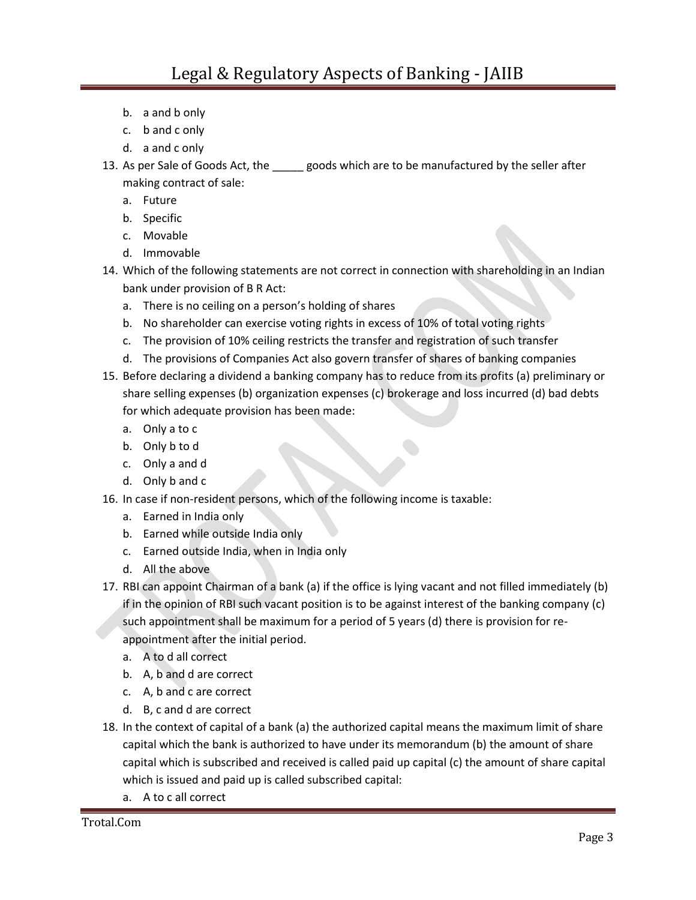- b. a and b only
- c. b and c only
- d. a and c only
- 13. As per Sale of Goods Act, the \_\_\_\_\_ goods which are to be manufactured by the seller after making contract of sale:
	- a. Future
	- b. Specific
	- c. Movable
	- d. Immovable
- 14. Which of the following statements are not correct in connection with shareholding in an Indian bank under provision of B R Act:
	- a. There is no ceiling on a person's holding of shares
	- b. No shareholder can exercise voting rights in excess of 10% of total voting rights
	- c. The provision of 10% ceiling restricts the transfer and registration of such transfer
	- d. The provisions of Companies Act also govern transfer of shares of banking companies
- 15. Before declaring a dividend a banking company has to reduce from its profits (a) preliminary or share selling expenses (b) organization expenses (c) brokerage and loss incurred (d) bad debts for which adequate provision has been made:
	- a. Only a to c
	- b. Only b to d
	- c. Only a and d
	- d. Only b and c
- 16. In case if non-resident persons, which of the following income is taxable:
	- a. Earned in India only
	- b. Earned while outside India only
	- c. Earned outside India, when in India only
	- d. All the above
- 17. RBI can appoint Chairman of a bank (a) if the office is lying vacant and not filled immediately (b) if in the opinion of RBI such vacant position is to be against interest of the banking company (c) such appointment shall be maximum for a period of 5 years (d) there is provision for reappointment after the initial period.
	- a. A to d all correct
	- b. A, b and d are correct
	- c. A, b and c are correct
	- d. B, c and d are correct
- 18. In the context of capital of a bank (a) the authorized capital means the maximum limit of share capital which the bank is authorized to have under its memorandum (b) the amount of share capital which is subscribed and received is called paid up capital (c) the amount of share capital which is issued and paid up is called subscribed capital:
	- a. A to c all correct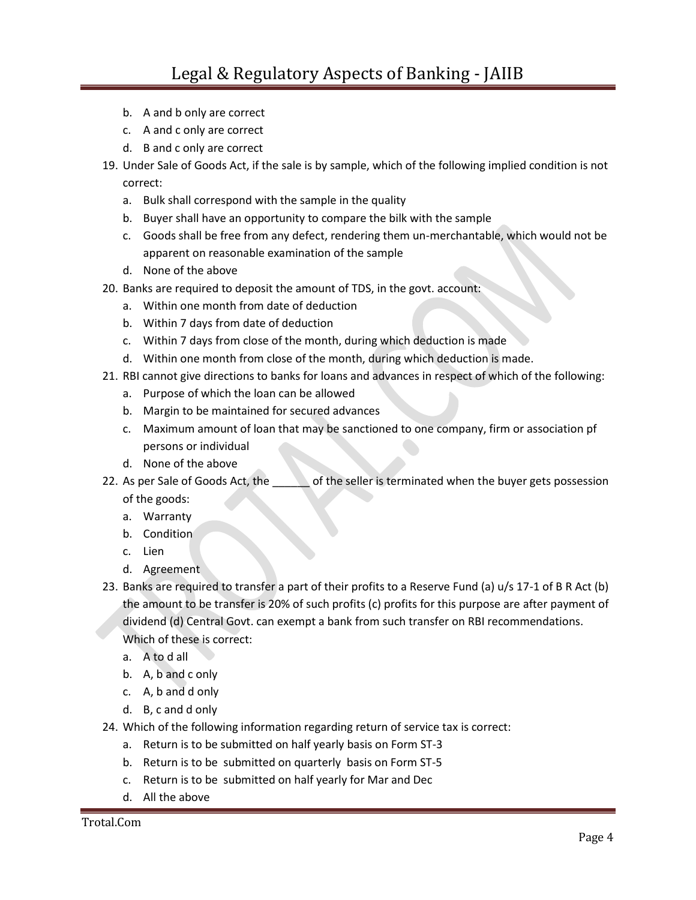- b. A and b only are correct
- c. A and c only are correct
- d. B and c only are correct
- 19. Under Sale of Goods Act, if the sale is by sample, which of the following implied condition is not correct:
	- a. Bulk shall correspond with the sample in the quality
	- b. Buyer shall have an opportunity to compare the bilk with the sample
	- c. Goods shall be free from any defect, rendering them un-merchantable, which would not be apparent on reasonable examination of the sample
	- d. None of the above
- 20. Banks are required to deposit the amount of TDS, in the govt. account:
	- a. Within one month from date of deduction
	- b. Within 7 days from date of deduction
	- c. Within 7 days from close of the month, during which deduction is made
	- d. Within one month from close of the month, during which deduction is made.
- 21. RBI cannot give directions to banks for loans and advances in respect of which of the following:
	- a. Purpose of which the loan can be allowed
	- b. Margin to be maintained for secured advances
	- c. Maximum amount of loan that may be sanctioned to one company, firm or association pf persons or individual
	- d. None of the above
- 22. As per Sale of Goods Act, the **contact of the seller is terminated when the buyer gets possession** of the goods:
	- a. Warranty
	- b. Condition
	- c. Lien
	- d. Agreement
- 23. Banks are required to transfer a part of their profits to a Reserve Fund (a) u/s 17-1 of B R Act (b) the amount to be transfer is 20% of such profits (c) profits for this purpose are after payment of dividend (d) Central Govt. can exempt a bank from such transfer on RBI recommendations. Which of these is correct:
	- a. A to d all
	- b. A, b and c only
	- c. A, b and d only
	- d. B, c and d only
- 24. Which of the following information regarding return of service tax is correct:
	- a. Return is to be submitted on half yearly basis on Form ST-3
	- b. Return is to be submitted on quarterly basis on Form ST-5
	- c. Return is to be submitted on half yearly for Mar and Dec
	- d. All the above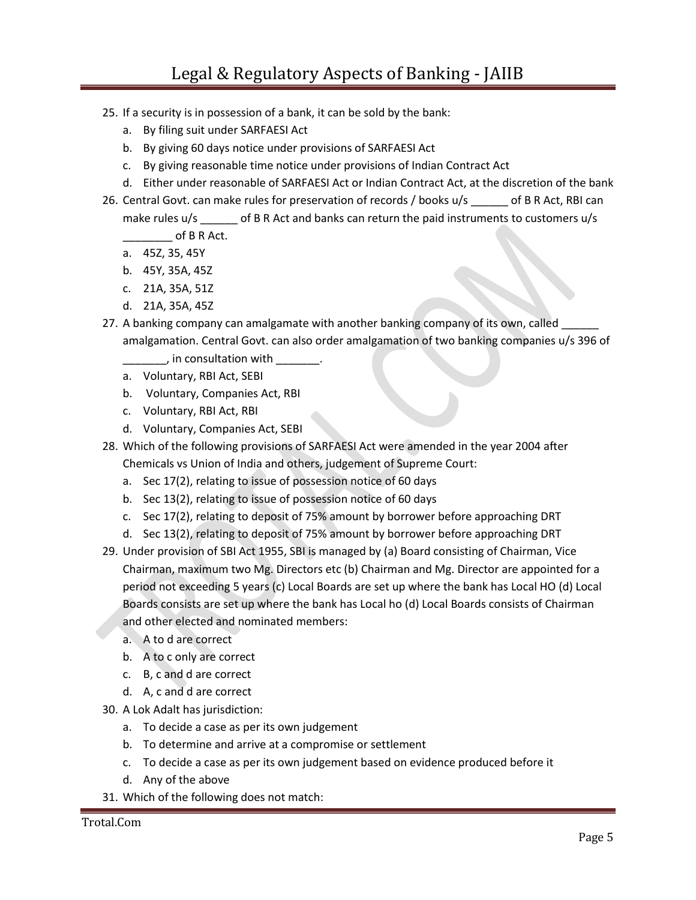- 25. If a security is in possession of a bank, it can be sold by the bank:
	- a. By filing suit under SARFAESI Act
	- b. By giving 60 days notice under provisions of SARFAESI Act
	- c. By giving reasonable time notice under provisions of Indian Contract Act
	- d. Either under reasonable of SARFAESI Act or Indian Contract Act, at the discretion of the bank
- 26. Central Govt. can make rules for preservation of records / books u/s \_\_\_\_\_\_ of B R Act, RBI can make rules u/s \_\_\_\_\_\_ of B R Act and banks can return the paid instruments to customers u/s  $\overline{\phantom{a} \phantom{a}}$  of B R Act.
	- a. 45Z, 35, 45Y
	- b. 45Y, 35A, 45Z
	- c. 21A, 35A, 51Z
	- d. 21A, 35A, 45Z
- 27. A banking company can amalgamate with another banking company of its own, called amalgamation. Central Govt. can also order amalgamation of two banking companies u/s 396 of
	- , in consultation with  $\qquad \qquad$ .
	- a. Voluntary, RBI Act, SEBI
	- b. Voluntary, Companies Act, RBI
	- c. Voluntary, RBI Act, RBI
	- d. Voluntary, Companies Act, SEBI
- 28. Which of the following provisions of SARFAESI Act were amended in the year 2004 after Chemicals vs Union of India and others, judgement of Supreme Court:
	- a. Sec 17(2), relating to issue of possession notice of 60 days
	- b. Sec 13(2), relating to issue of possession notice of 60 days
	- c. Sec 17(2), relating to deposit of 75% amount by borrower before approaching DRT
	- d. Sec 13(2), relating to deposit of 75% amount by borrower before approaching DRT
- 29. Under provision of SBI Act 1955, SBI is managed by (a) Board consisting of Chairman, Vice Chairman, maximum two Mg. Directors etc (b) Chairman and Mg. Director are appointed for a period not exceeding 5 years (c) Local Boards are set up where the bank has Local HO (d) Local Boards consists are set up where the bank has Local ho (d) Local Boards consists of Chairman and other elected and nominated members:
	- a. A to d are correct
	- b. A to c only are correct
	- c. B, c and d are correct
	- d. A, c and d are correct
- 30. A Lok Adalt has jurisdiction:
	- a. To decide a case as per its own judgement
	- b. To determine and arrive at a compromise or settlement
	- c. To decide a case as per its own judgement based on evidence produced before it
	- d. Any of the above
- 31. Which of the following does not match: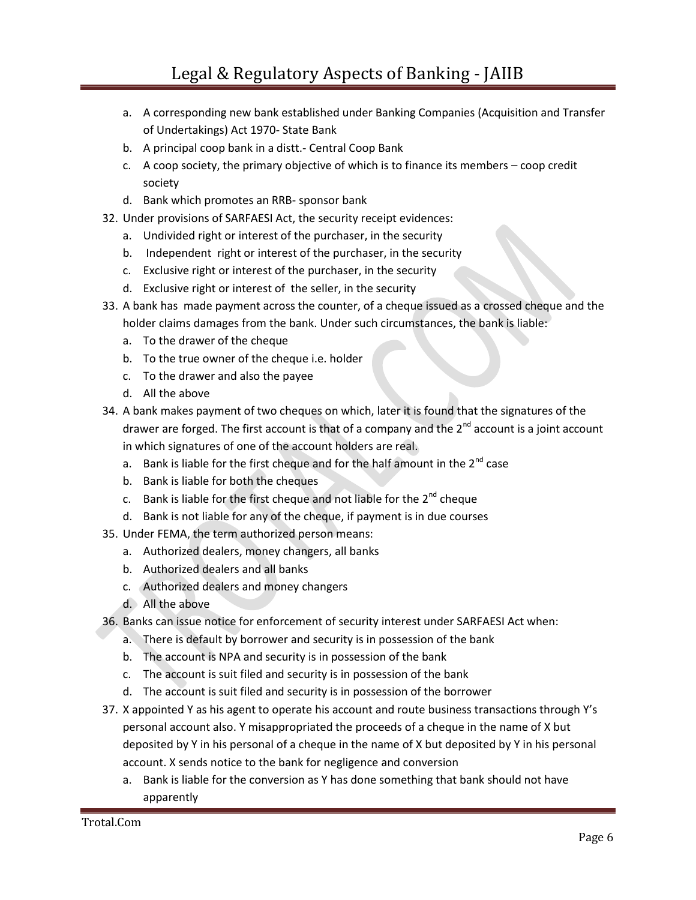- a. A corresponding new bank established under Banking Companies (Acquisition and Transfer of Undertakings) Act 1970- State Bank
- b. A principal coop bank in a distt.- Central Coop Bank
- c. A coop society, the primary objective of which is to finance its members coop credit society
- d. Bank which promotes an RRB- sponsor bank
- 32. Under provisions of SARFAESI Act, the security receipt evidences:
	- a. Undivided right or interest of the purchaser, in the security
	- b. Independent right or interest of the purchaser, in the security
	- c. Exclusive right or interest of the purchaser, in the security
	- d. Exclusive right or interest of the seller, in the security
- 33. A bank has made payment across the counter, of a cheque issued as a crossed cheque and the holder claims damages from the bank. Under such circumstances, the bank is liable:
	- a. To the drawer of the cheque
	- b. To the true owner of the cheque i.e. holder
	- c. To the drawer and also the payee
	- d. All the above
- 34. A bank makes payment of two cheques on which, later it is found that the signatures of the drawer are forged. The first account is that of a company and the  $2<sup>nd</sup>$  account is a joint account in which signatures of one of the account holders are real.
	- a. Bank is liable for the first cheque and for the half amount in the  $2^{nd}$  case
	- b. Bank is liable for both the cheques
	- c. Bank is liable for the first cheque and not liable for the  $2^{nd}$  cheque
	- d. Bank is not liable for any of the cheque, if payment is in due courses
- 35. Under FEMA, the term authorized person means:
	- a. Authorized dealers, money changers, all banks
	- b. Authorized dealers and all banks
	- c. Authorized dealers and money changers
	- d. All the above
- 36. Banks can issue notice for enforcement of security interest under SARFAESI Act when:
	- a. There is default by borrower and security is in possession of the bank
	- b. The account is NPA and security is in possession of the bank
	- c. The account is suit filed and security is in possession of the bank
	- d. The account is suit filed and security is in possession of the borrower
- 37. X appointed Y as his agent to operate his account and route business transactions through Y's personal account also. Y misappropriated the proceeds of a cheque in the name of X but deposited by Y in his personal of a cheque in the name of X but deposited by Y in his personal account. X sends notice to the bank for negligence and conversion
	- a. Bank is liable for the conversion as Y has done something that bank should not have apparently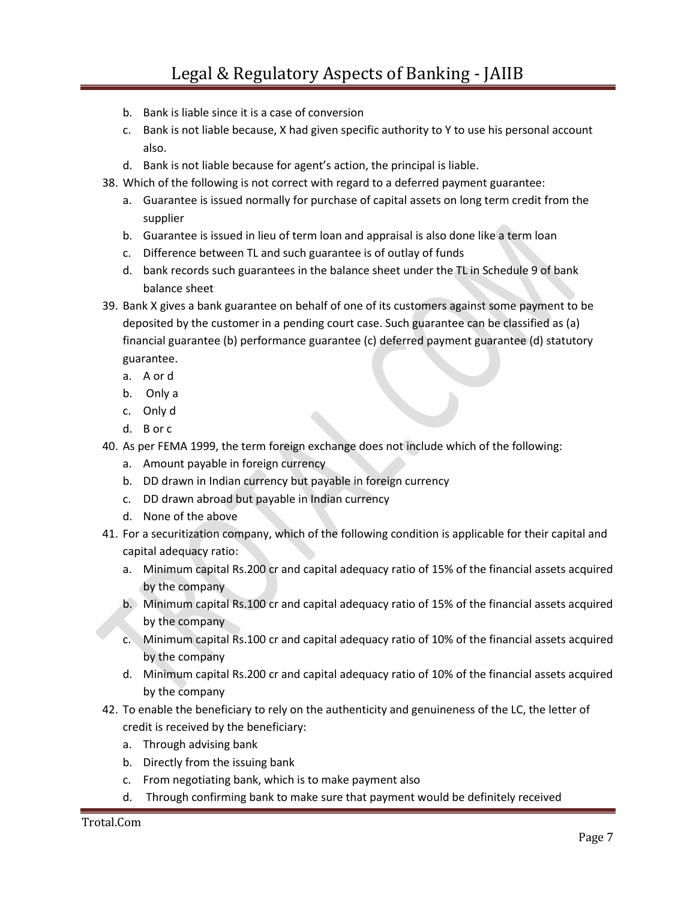- b. Bank is liable since it is a case of conversion
- c. Bank is not liable because, X had given specific authority to Y to use his personal account also.
- d. Bank is not liable because for agent's action, the principal is liable.
- 38. Which of the following is not correct with regard to a deferred payment guarantee:
	- a. Guarantee is issued normally for purchase of capital assets on long term credit from the supplier
	- b. Guarantee is issued in lieu of term loan and appraisal is also done like a term loan
	- c. Difference between TL and such guarantee is of outlay of funds
	- d. bank records such guarantees in the balance sheet under the TL in Schedule 9 of bank balance sheet
- 39. Bank X gives a bank guarantee on behalf of one of its customers against some payment to be deposited by the customer in a pending court case. Such guarantee can be classified as (a) financial guarantee (b) performance guarantee (c) deferred payment guarantee (d) statutory guarantee.
	- a. A or d
	- b. Only a
	- c. Only d
	- d. B or c
- 40. As per FEMA 1999, the term foreign exchange does not include which of the following:
	- a. Amount payable in foreign currency
	- b. DD drawn in Indian currency but payable in foreign currency
	- c. DD drawn abroad but payable in Indian currency
	- d. None of the above
- 41. For a securitization company, which of the following condition is applicable for their capital and capital adequacy ratio:
	- a. Minimum capital Rs.200 cr and capital adequacy ratio of 15% of the financial assets acquired by the company
	- b. Minimum capital Rs.100 cr and capital adequacy ratio of 15% of the financial assets acquired by the company
	- c. Minimum capital Rs.100 cr and capital adequacy ratio of 10% of the financial assets acquired by the company
	- d. Minimum capital Rs.200 cr and capital adequacy ratio of 10% of the financial assets acquired by the company
- 42. To enable the beneficiary to rely on the authenticity and genuineness of the LC, the letter of credit is received by the beneficiary:
	- a. Through advising bank
	- b. Directly from the issuing bank
	- c. From negotiating bank, which is to make payment also
	- d. Through confirming bank to make sure that payment would be definitely received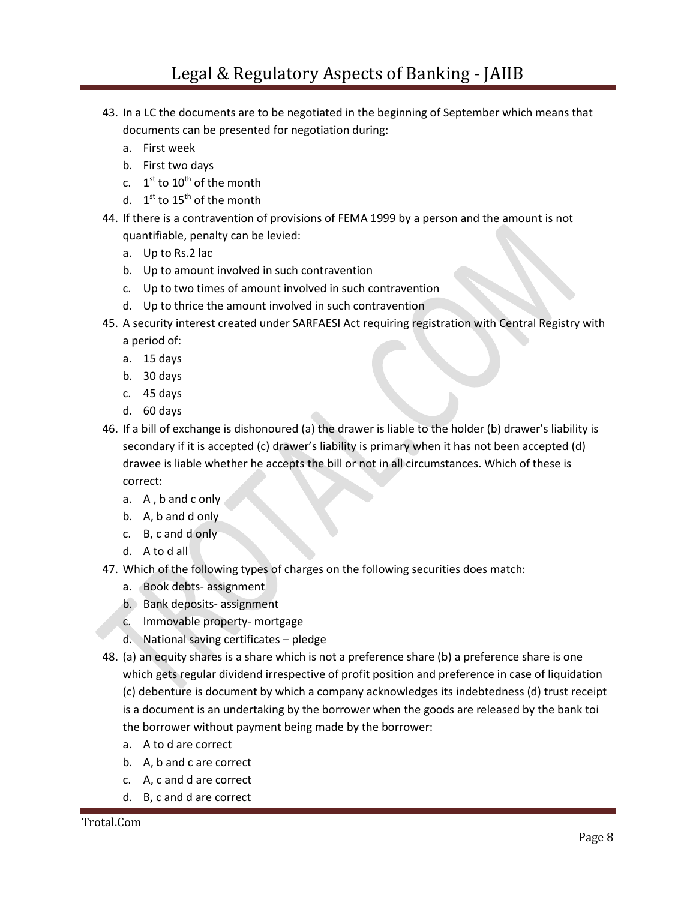- 43. In a LC the documents are to be negotiated in the beginning of September which means that documents can be presented for negotiation during:
	- a. First week
	- b. First two days
	- c.  $1^{\text{st}}$  to  $10^{\text{th}}$  of the month
	- d.  $1^{\text{st}}$  to  $15^{\text{th}}$  of the month
- 44. If there is a contravention of provisions of FEMA 1999 by a person and the amount is not quantifiable, penalty can be levied:
	- a. Up to Rs.2 lac
	- b. Up to amount involved in such contravention
	- c. Up to two times of amount involved in such contravention
	- d. Up to thrice the amount involved in such contravention
- 45. A security interest created under SARFAESI Act requiring registration with Central Registry with a period of:
	- a. 15 days
	- b. 30 days
	- c. 45 days
	- d. 60 days
- 46. If a bill of exchange is dishonoured (a) the drawer is liable to the holder (b) drawer's liability is secondary if it is accepted (c) drawer's liability is primary when it has not been accepted (d) drawee is liable whether he accepts the bill or not in all circumstances. Which of these is correct:
	- a. A , b and c only
	- b. A, b and d only
	- c. B, c and d only
	- d. A to d all
- 47. Which of the following types of charges on the following securities does match:
	- a. Book debts- assignment
	- b. Bank deposits- assignment
	- c. Immovable property- mortgage
	- d. National saving certificates pledge
- 48. (a) an equity shares is a share which is not a preference share (b) a preference share is one which gets regular dividend irrespective of profit position and preference in case of liquidation (c) debenture is document by which a company acknowledges its indebtedness (d) trust receipt is a document is an undertaking by the borrower when the goods are released by the bank toi the borrower without payment being made by the borrower:
	- a. A to d are correct
	- b. A, b and c are correct
	- c. A, c and d are correct
	- d. B, c and d are correct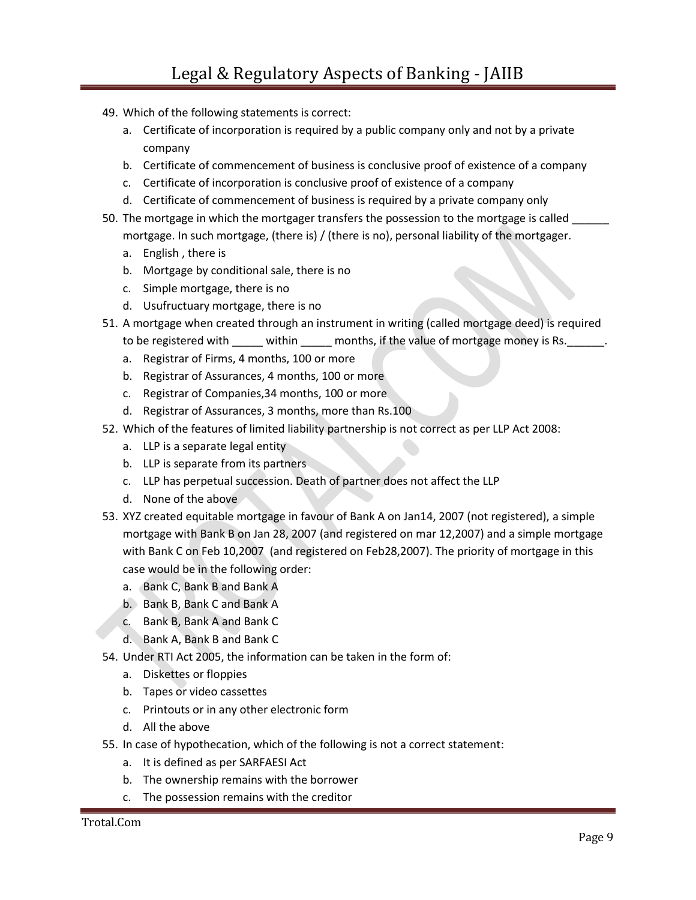- 49. Which of the following statements is correct:
	- a. Certificate of incorporation is required by a public company only and not by a private company
	- b. Certificate of commencement of business is conclusive proof of existence of a company
	- c. Certificate of incorporation is conclusive proof of existence of a company
	- d. Certificate of commencement of business is required by a private company only
- 50. The mortgage in which the mortgager transfers the possession to the mortgage is called \_\_\_\_\_ mortgage. In such mortgage, (there is) / (there is no), personal liability of the mortgager.
	- a. English , there is
	- b. Mortgage by conditional sale, there is no
	- c. Simple mortgage, there is no
	- d. Usufructuary mortgage, there is no
- 51. A mortgage when created through an instrument in writing (called mortgage deed) is required to be registered with \_\_\_\_\_ within \_\_\_\_\_ months, if the value of mortgage money is Rs. \_\_\_\_\_\_.
	- a. Registrar of Firms, 4 months, 100 or more
	- b. Registrar of Assurances, 4 months, 100 or more
	- c. Registrar of Companies,34 months, 100 or more
	- d. Registrar of Assurances, 3 months, more than Rs.100
- 52. Which of the features of limited liability partnership is not correct as per LLP Act 2008:
	- a. LLP is a separate legal entity
	- b. LLP is separate from its partners
	- c. LLP has perpetual succession. Death of partner does not affect the LLP
	- d. None of the above
- 53. XYZ created equitable mortgage in favour of Bank A on Jan14, 2007 (not registered), a simple mortgage with Bank B on Jan 28, 2007 (and registered on mar 12,2007) and a simple mortgage with Bank C on Feb 10,2007 (and registered on Feb28,2007). The priority of mortgage in this case would be in the following order:
	- a. Bank C, Bank B and Bank A
	- b. Bank B, Bank C and Bank A
	- c. Bank B, Bank A and Bank C
	- d. Bank A, Bank B and Bank C
- 54. Under RTI Act 2005, the information can be taken in the form of:
	- a. Diskettes or floppies
	- b. Tapes or video cassettes
	- c. Printouts or in any other electronic form
	- d. All the above
- 55. In case of hypothecation, which of the following is not a correct statement:
	- a. It is defined as per SARFAESI Act
	- b. The ownership remains with the borrower
	- c. The possession remains with the creditor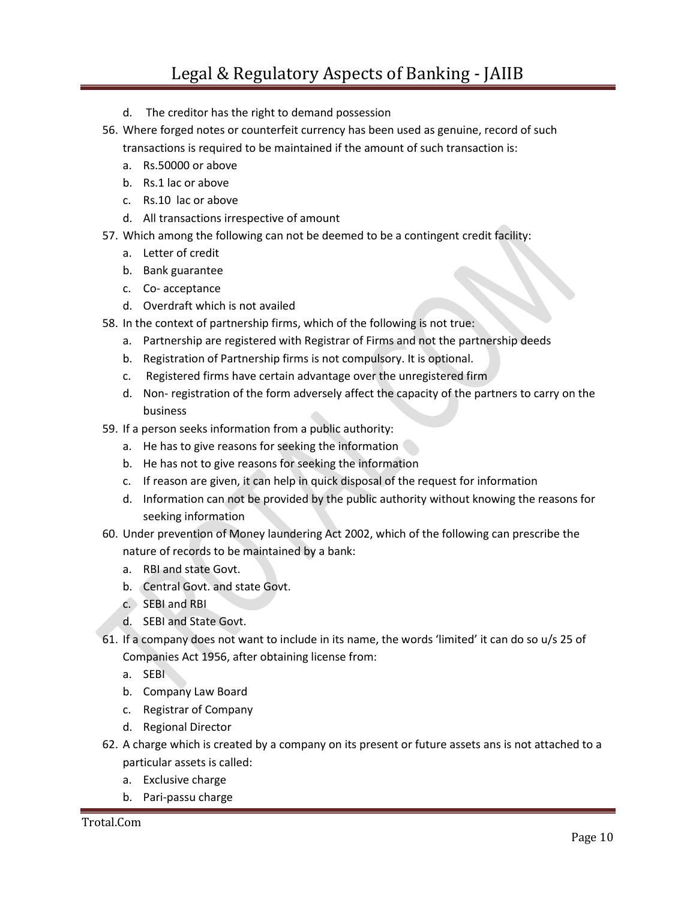- d. The creditor has the right to demand possession
- 56. Where forged notes or counterfeit currency has been used as genuine, record of such transactions is required to be maintained if the amount of such transaction is:
	- a. Rs.50000 or above
	- b. Rs.1 lac or above
	- c. Rs.10 lac or above
	- d. All transactions irrespective of amount
- 57. Which among the following can not be deemed to be a contingent credit facility:
	- a. Letter of credit
	- b. Bank guarantee
	- c. Co- acceptance
	- d. Overdraft which is not availed
- 58. In the context of partnership firms, which of the following is not true:
	- a. Partnership are registered with Registrar of Firms and not the partnership deeds
	- b. Registration of Partnership firms is not compulsory. It is optional.
	- c. Registered firms have certain advantage over the unregistered firm
	- d. Non- registration of the form adversely affect the capacity of the partners to carry on the business
- 59. If a person seeks information from a public authority:
	- a. He has to give reasons for seeking the information
	- b. He has not to give reasons for seeking the information
	- c. If reason are given, it can help in quick disposal of the request for information
	- d. Information can not be provided by the public authority without knowing the reasons for seeking information
- 60. Under prevention of Money laundering Act 2002, which of the following can prescribe the nature of records to be maintained by a bank:
	- a. RBI and state Govt.
	- b. Central Govt. and state Govt.
	- c. SEBI and RBI
	- d. SEBI and State Govt.
- 61. If a company does not want to include in its name, the words 'limited' it can do so u/s 25 of Companies Act 1956, after obtaining license from:
	- a. SEBI
	- b. Company Law Board
	- c. Registrar of Company
	- d. Regional Director
- 62. A charge which is created by a company on its present or future assets ans is not attached to a particular assets is called:
	- a. Exclusive charge
	- b. Pari-passu charge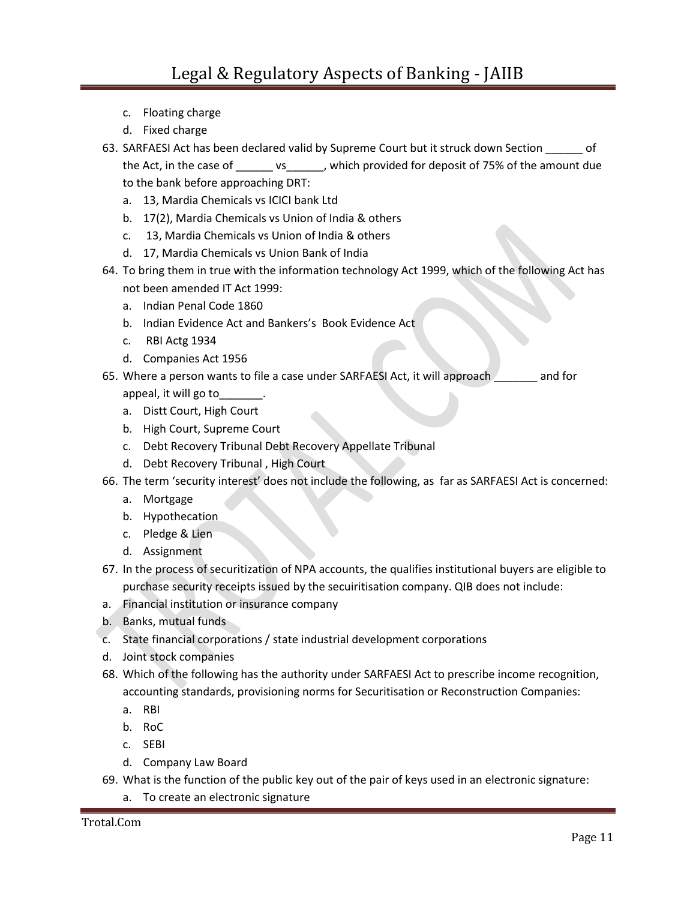- c. Floating charge
- d. Fixed charge
- 63. SARFAESI Act has been declared valid by Supreme Court but it struck down Section of the Act, in the case of \_\_\_\_\_\_ vs\_\_\_\_\_\_, which provided for deposit of 75% of the amount due to the bank before approaching DRT:
	- a. 13, Mardia Chemicals vs ICICI bank Ltd
	- b. 17(2), Mardia Chemicals vs Union of India & others
	- c. 13, Mardia Chemicals vs Union of India & others
	- d. 17, Mardia Chemicals vs Union Bank of India
- 64. To bring them in true with the information technology Act 1999, which of the following Act has not been amended IT Act 1999:
	- a. Indian Penal Code 1860
	- b. Indian Evidence Act and Bankers's Book Evidence Act
	- c. RBI Actg 1934
	- d. Companies Act 1956
- 65. Where a person wants to file a case under SARFAESI Act, it will approach \_\_\_\_\_\_\_ and for appeal, it will go to\_\_\_\_\_\_\_.
	- a. Distt Court, High Court
	- b. High Court, Supreme Court
	- c. Debt Recovery Tribunal Debt Recovery Appellate Tribunal
	- d. Debt Recovery Tribunal , High Court
- 66. The term 'security interest' does not include the following, as far as SARFAESI Act is concerned:
	- a. Mortgage
	- b. Hypothecation
	- c. Pledge & Lien
	- d. Assignment
- 67. In the process of securitization of NPA accounts, the qualifies institutional buyers are eligible to purchase security receipts issued by the secuiritisation company. QIB does not include:
- a. Financial institution or insurance company
- b. Banks, mutual funds
- c. State financial corporations / state industrial development corporations
- d. Joint stock companies
- 68. Which of the following has the authority under SARFAESI Act to prescribe income recognition, accounting standards, provisioning norms for Securitisation or Reconstruction Companies:
	- a. RBI
	- b. RoC
	- c. SEBI
	- d. Company Law Board
- 69. What is the function of the public key out of the pair of keys used in an electronic signature:
	- a. To create an electronic signature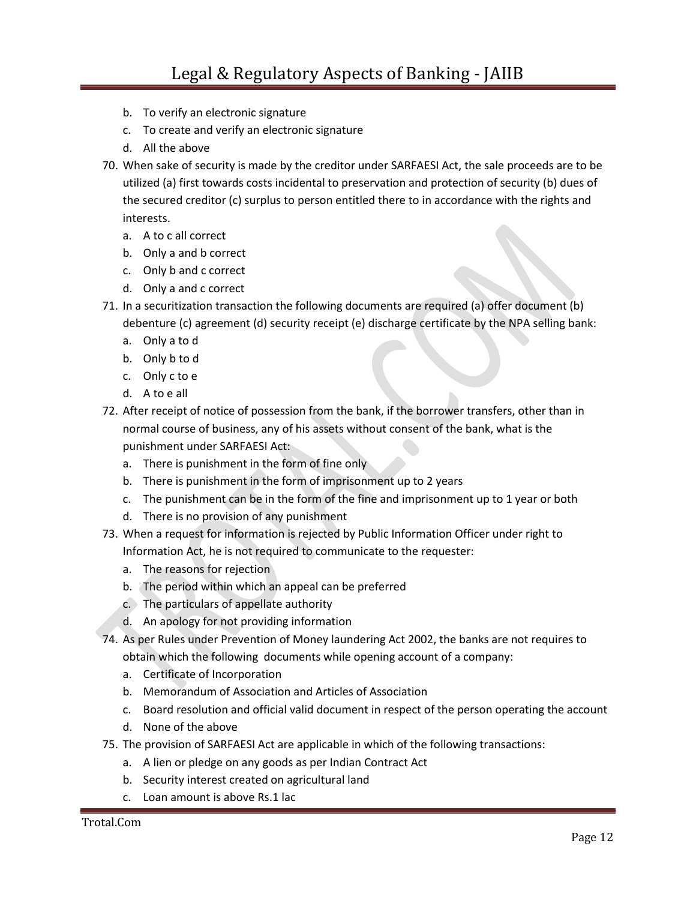- b. To verify an electronic signature
- c. To create and verify an electronic signature
- d. All the above
- 70. When sake of security is made by the creditor under SARFAESI Act, the sale proceeds are to be utilized (a) first towards costs incidental to preservation and protection of security (b) dues of the secured creditor (c) surplus to person entitled there to in accordance with the rights and interests.
	- a. A to c all correct
	- b. Only a and b correct
	- c. Only b and c correct
	- d. Only a and c correct
- 71. In a securitization transaction the following documents are required (a) offer document (b) debenture (c) agreement (d) security receipt (e) discharge certificate by the NPA selling bank:
	- a. Only a to d
	- b. Only b to d
	- c. Only c to e
	- d. A to e all
- 72. After receipt of notice of possession from the bank, if the borrower transfers, other than in normal course of business, any of his assets without consent of the bank, what is the punishment under SARFAESI Act:
	- a. There is punishment in the form of fine only
	- b. There is punishment in the form of imprisonment up to 2 years
	- c. The punishment can be in the form of the fine and imprisonment up to 1 year or both
	- d. There is no provision of any punishment
- 73. When a request for information is rejected by Public Information Officer under right to Information Act, he is not required to communicate to the requester:
	- a. The reasons for rejection
	- b. The period within which an appeal can be preferred
	- c. The particulars of appellate authority
	- d. An apology for not providing information
- 74. As per Rules under Prevention of Money laundering Act 2002, the banks are not requires to obtain which the following documents while opening account of a company:
	- a. Certificate of Incorporation
	- b. Memorandum of Association and Articles of Association
	- c. Board resolution and official valid document in respect of the person operating the account
	- d. None of the above
- 75. The provision of SARFAESI Act are applicable in which of the following transactions:
	- a. A lien or pledge on any goods as per Indian Contract Act
	- b. Security interest created on agricultural land
	- c. Loan amount is above Rs.1 lac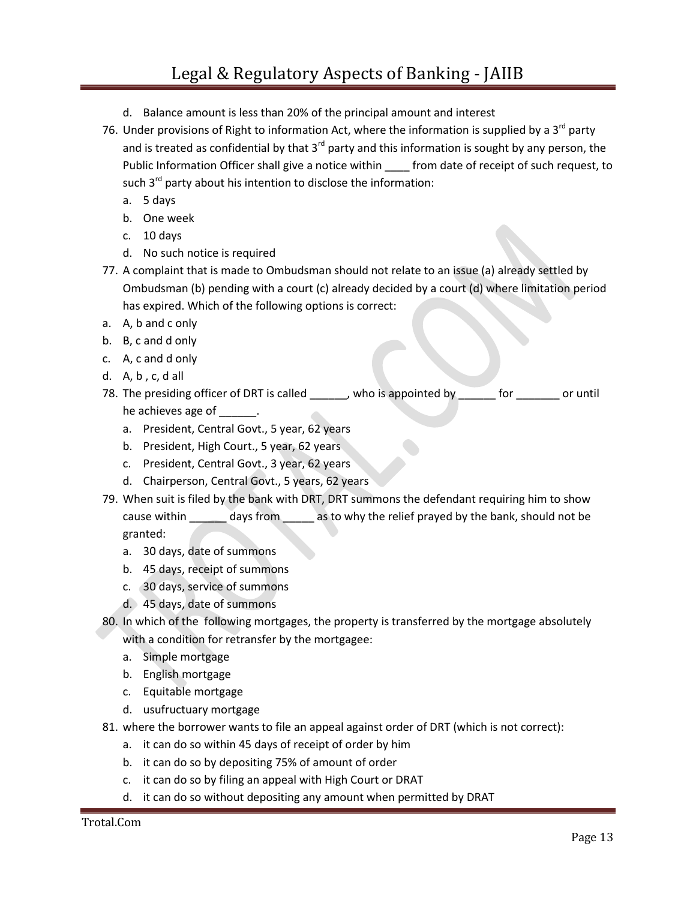## Legal & Regulatory Aspects of Banking - JAIIB

- d. Balance amount is less than 20% of the principal amount and interest
- 76. Under provisions of Right to information Act, where the information is supplied by a  $3<sup>rd</sup>$  party and is treated as confidential by that  $3^{rd}$  party and this information is sought by any person, the Public Information Officer shall give a notice within from date of receipt of such request, to such  $3<sup>rd</sup>$  party about his intention to disclose the information:
	- a. 5 days
	- b. One week
	- c. 10 days
	- d. No such notice is required
- 77. A complaint that is made to Ombudsman should not relate to an issue (a) already settled by Ombudsman (b) pending with a court (c) already decided by a court (d) where limitation period has expired. Which of the following options is correct:
- a. A, b and c only
- b. B, c and d only
- c. A, c and d only
- d. A, b , c, d all
- 78. The presiding officer of DRT is called \_\_\_\_\_\_, who is appointed by \_\_\_\_\_\_ for \_\_\_\_\_\_ or until he achieves age of \_\_\_\_\_\_\_.
	- a. President, Central Govt., 5 year, 62 years
	- b. President, High Court., 5 year, 62 years
	- c. President, Central Govt., 3 year, 62 years
	- d. Chairperson, Central Govt., 5 years, 62 years
- 79. When suit is filed by the bank with DRT, DRT summons the defendant requiring him to show cause within \_\_\_\_\_\_ days from \_\_\_\_\_ as to why the relief prayed by the bank, should not be granted:
	- a. 30 days, date of summons
	- b. 45 days, receipt of summons
	- c. 30 days, service of summons
	- d. 45 days, date of summons

80. In which of the following mortgages, the property is transferred by the mortgage absolutely

with a condition for retransfer by the mortgagee:

- a. Simple mortgage
- b. English mortgage
- c. Equitable mortgage
- d. usufructuary mortgage
- 81. where the borrower wants to file an appeal against order of DRT (which is not correct):
	- a. it can do so within 45 days of receipt of order by him
	- b. it can do so by depositing 75% of amount of order
	- c. it can do so by filing an appeal with High Court or DRAT
	- d. it can do so without depositing any amount when permitted by DRAT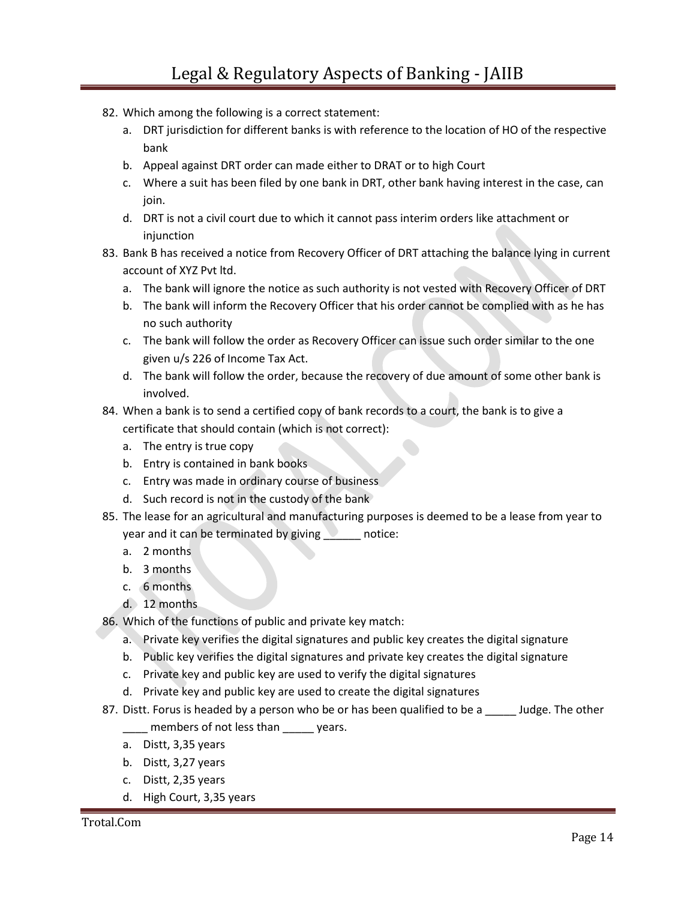- 82. Which among the following is a correct statement:
	- a. DRT jurisdiction for different banks is with reference to the location of HO of the respective bank
	- b. Appeal against DRT order can made either to DRAT or to high Court
	- c. Where a suit has been filed by one bank in DRT, other bank having interest in the case, can join.
	- d. DRT is not a civil court due to which it cannot pass interim orders like attachment or injunction
- 83. Bank B has received a notice from Recovery Officer of DRT attaching the balance lying in current account of XYZ Pvt ltd.
	- a. The bank will ignore the notice as such authority is not vested with Recovery Officer of DRT
	- b. The bank will inform the Recovery Officer that his order cannot be complied with as he has no such authority
	- c. The bank will follow the order as Recovery Officer can issue such order similar to the one given u/s 226 of Income Tax Act.
	- d. The bank will follow the order, because the recovery of due amount of some other bank is involved.
- 84. When a bank is to send a certified copy of bank records to a court, the bank is to give a certificate that should contain (which is not correct):
	- a. The entry is true copy
	- b. Entry is contained in bank books
	- c. Entry was made in ordinary course of business
	- d. Such record is not in the custody of the bank
- 85. The lease for an agricultural and manufacturing purposes is deemed to be a lease from year to year and it can be terminated by giving notice:
	- a. 2 months
	- b. 3 months
	- c. 6 months
	- d. 12 months
- 86. Which of the functions of public and private key match:
	- a. Private key verifies the digital signatures and public key creates the digital signature
	- b. Public key verifies the digital signatures and private key creates the digital signature
	- c. Private key and public key are used to verify the digital signatures
	- d. Private key and public key are used to create the digital signatures
- 87. Distt. Forus is headed by a person who be or has been qualified to be a sum dudge. The other
	- \_\_\_\_ members of not less than \_\_\_\_\_ years.
	- a. Distt, 3,35 years
	- b. Distt, 3,27 years
	- c. Distt, 2,35 years
	- d. High Court, 3,35 years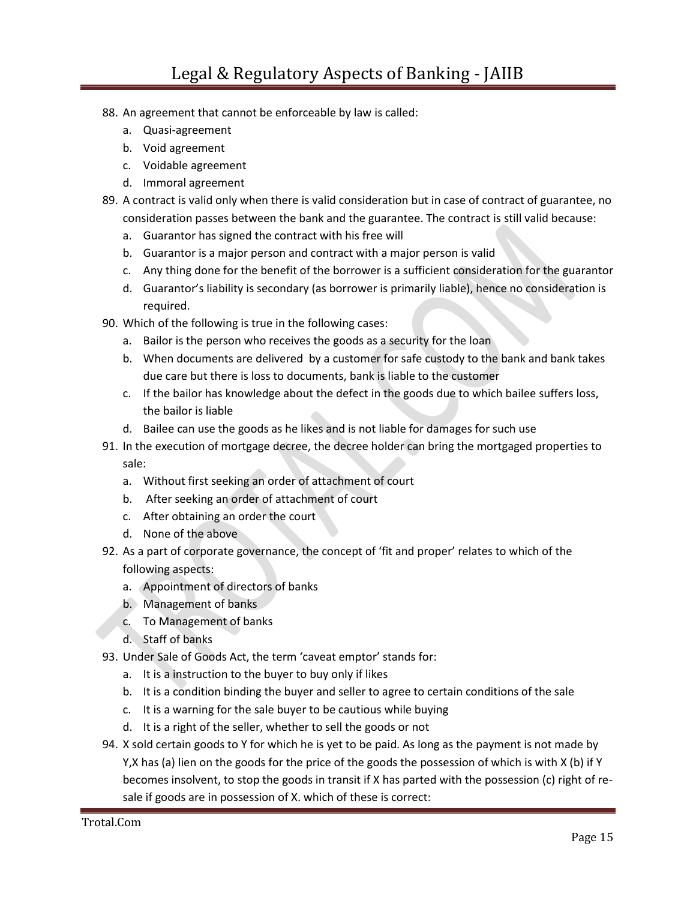## Legal & Regulatory Aspects of Banking - JAIIB

- 88. An agreement that cannot be enforceable by law is called:
	- a. Quasi-agreement
	- b. Void agreement
	- c. Voidable agreement
	- d. Immoral agreement
- 89. A contract is valid only when there is valid consideration but in case of contract of guarantee, no consideration passes between the bank and the guarantee. The contract is still valid because:
	- a. Guarantor has signed the contract with his free will
	- b. Guarantor is a major person and contract with a major person is valid
	- c. Any thing done for the benefit of the borrower is a sufficient consideration for the guarantor
	- d. Guarantor's liability is secondary (as borrower is primarily liable), hence no consideration is required.
- 90. Which of the following is true in the following cases:
	- a. Bailor is the person who receives the goods as a security for the loan
	- b. When documents are delivered by a customer for safe custody to the bank and bank takes due care but there is loss to documents, bank is liable to the customer
	- c. If the bailor has knowledge about the defect in the goods due to which bailee suffers loss, the bailor is liable
	- d. Bailee can use the goods as he likes and is not liable for damages for such use
- 91. In the execution of mortgage decree, the decree holder can bring the mortgaged properties to sale:
	- a. Without first seeking an order of attachment of court
	- b. After seeking an order of attachment of court
	- c. After obtaining an order the court
	- d. None of the above
- 92. As a part of corporate governance, the concept of 'fit and proper' relates to which of the following aspects:
	- a. Appointment of directors of banks
	- b. Management of banks
	- c. To Management of banks
	- d. Staff of banks
- 93. Under Sale of Goods Act, the term 'caveat emptor' stands for:
	- a. It is a instruction to the buyer to buy only if likes
	- b. It is a condition binding the buyer and seller to agree to certain conditions of the sale
	- c. It is a warning for the sale buyer to be cautious while buying
	- d. It is a right of the seller, whether to sell the goods or not
- 94. X sold certain goods to Y for which he is yet to be paid. As long as the payment is not made by Y,X has (a) lien on the goods for the price of the goods the possession of which is with X (b) if Y becomes insolvent, to stop the goods in transit if X has parted with the possession (c) right of resale if goods are in possession of X. which of these is correct: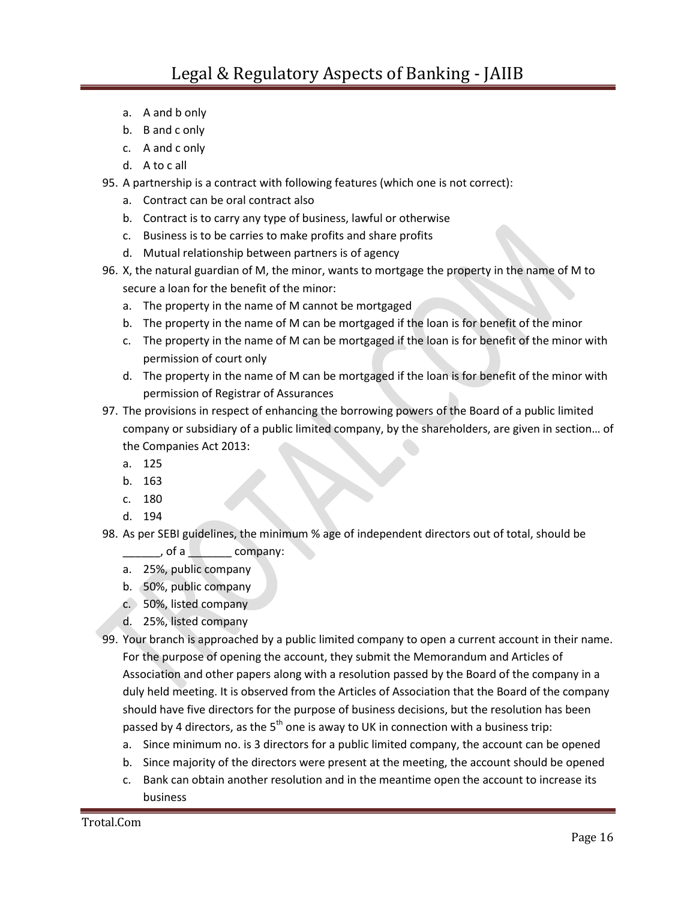- a. A and b only
- b. B and c only
- c. A and c only
- d. A to c all
- 95. A partnership is a contract with following features (which one is not correct):
	- a. Contract can be oral contract also
	- b. Contract is to carry any type of business, lawful or otherwise
	- c. Business is to be carries to make profits and share profits
	- d. Mutual relationship between partners is of agency
- 96. X, the natural guardian of M, the minor, wants to mortgage the property in the name of M to secure a loan for the benefit of the minor:
	- a. The property in the name of M cannot be mortgaged
	- b. The property in the name of M can be mortgaged if the loan is for benefit of the minor
	- c. The property in the name of M can be mortgaged if the loan is for benefit of the minor with permission of court only
	- d. The property in the name of M can be mortgaged if the loan is for benefit of the minor with permission of Registrar of Assurances
- 97. The provisions in respect of enhancing the borrowing powers of the Board of a public limited company or subsidiary of a public limited company, by the shareholders, are given in section… of the Companies Act 2013:
	- a. 125
	- b. 163
	- c. 180
	- d. 194
- 98. As per SEBI guidelines, the minimum % age of independent directors out of total, should be

 $\sqrt{a}$  of a company:

- a. 25%, public company
- b. 50%, public company
- c. 50%, listed company
- d. 25%, listed company
- 99. Your branch is approached by a public limited company to open a current account in their name. For the purpose of opening the account, they submit the Memorandum and Articles of Association and other papers along with a resolution passed by the Board of the company in a duly held meeting. It is observed from the Articles of Association that the Board of the company should have five directors for the purpose of business decisions, but the resolution has been passed by 4 directors, as the  $5<sup>th</sup>$  one is away to UK in connection with a business trip:
	- a. Since minimum no. is 3 directors for a public limited company, the account can be opened
	- b. Since majority of the directors were present at the meeting, the account should be opened
	- c. Bank can obtain another resolution and in the meantime open the account to increase its business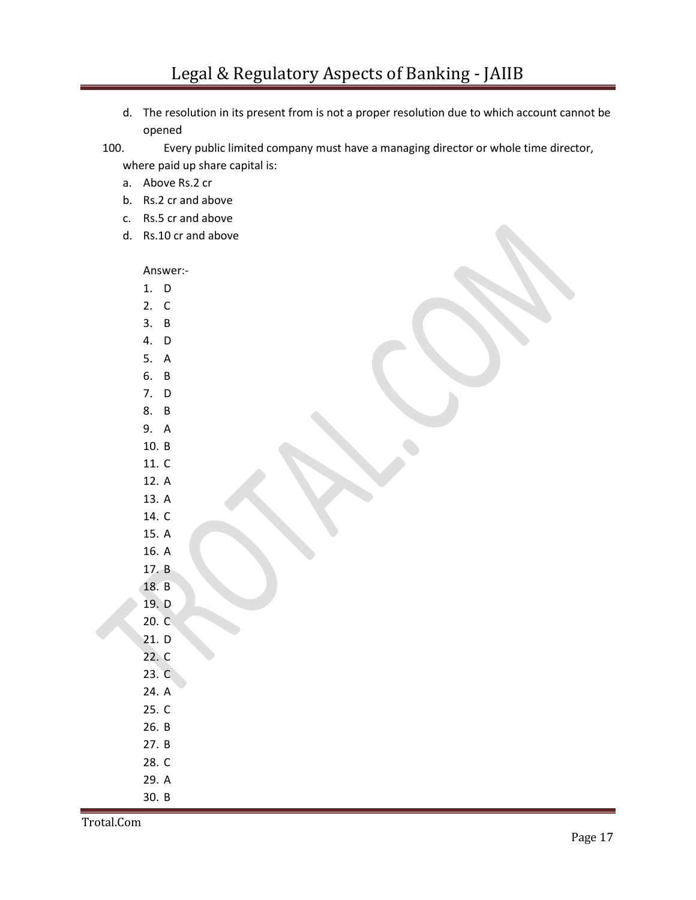d. The resolution in its present from is not a proper resolution due to which account cannot be opened

100. Every public limited company must have a managing director or whole time director,

where paid up share capital is:

- a. Above Rs.2 cr
- b. Rs.2 cr and above
- c. Rs.5 cr and above
- d. Rs.10 cr and above

Answer:-

- 1. D 2. C
- 3. B
- 4. D
- 5. A
- 6. B
- 7. D
- 8. B
- 9. A 10. B
- 11. C
- 12. A
- 13. A
- 14. C
- 15. A
- 16. A
- 17. B
- 18. B
- 19. D
- 20. C
- 21. D
- 22. C
- 23. C
- 24. A
- 25. C
- 26. B
- 27. B
- 28. C
- 29. A
- 30. B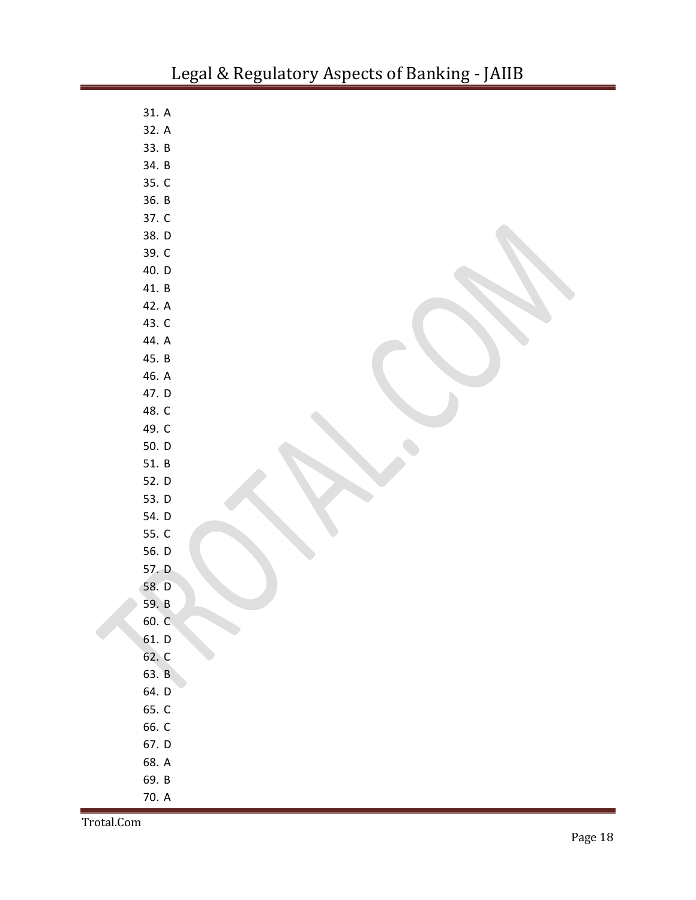| 31. A |  |
|-------|--|
| 32. A |  |
| 33. B |  |
| 34. B |  |
| 35. C |  |
| 36. B |  |
| 37. C |  |
| 38. D |  |
| 39. C |  |
| 40. D |  |
| 41. B |  |
| 42. A |  |
| 43. C |  |
| 44. A |  |
| 45. B |  |
| 46. A |  |
| 47. D |  |
| 48. C |  |
| 49. C |  |
| 50. D |  |
| 51. B |  |
| 52. D |  |
| 53. D |  |
| 54. D |  |
| 55. C |  |
| 56. D |  |
| 57. D |  |
| 58. D |  |
| 59. B |  |
| 60. C |  |
| 61. D |  |
| 62. C |  |
| 63. B |  |
| 64. D |  |
| 65. C |  |
| 66. C |  |
| 67. D |  |
| 68. A |  |
| 69. B |  |
| 70. A |  |

Trotal.Com